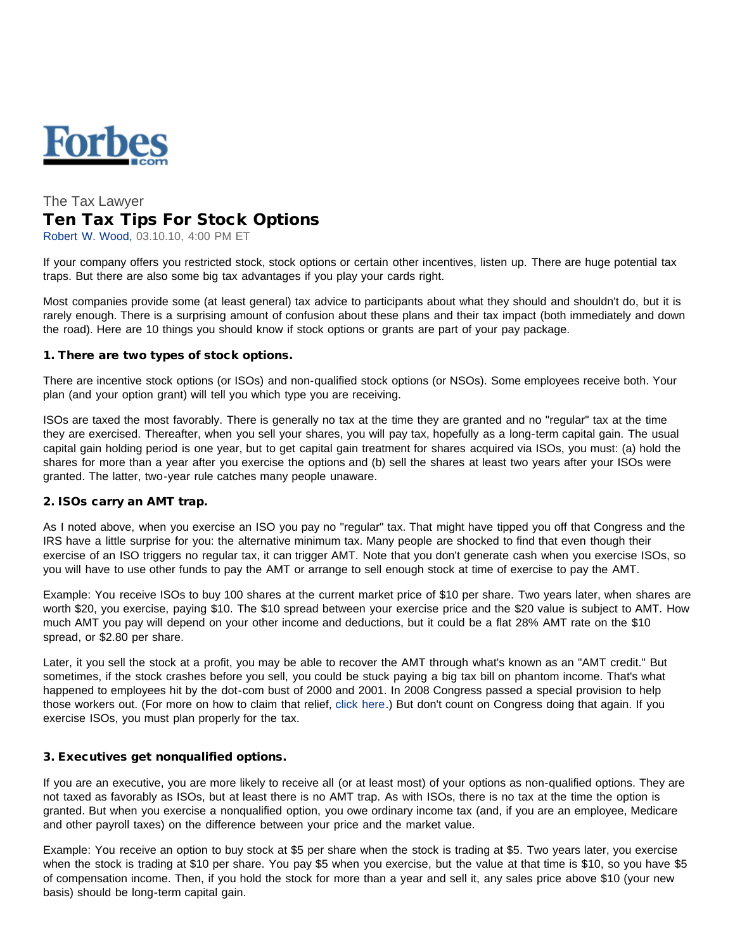

# The Tax Lawyer Ten Tax Tips For Stock Options

Robert W. Wood, 03.10.10, 4:00 PM ET

If your company offers you restricted stock, stock options or certain other incentives, listen up. There are huge potential tax traps. But there are also some big tax advantages if you play your cards right.

Most companies provide some (at least general) tax advice to participants about what they should and shouldn't do, but it is rarely enough. There is a surprising amount of confusion about these plans and their tax impact (both immediately and down the road). Here are 10 things you should know if stock options or grants are part of your pay package.

## 1. There are two types of stock options.

There are incentive stock options (or ISOs) and non-qualified stock options (or NSOs). Some employees receive both. Your plan (and your option grant) will tell you which type you are receiving.

ISOs are taxed the most favorably. There is generally no tax at the time they are granted and no "regular" tax at the time they are exercised. Thereafter, when you sell your shares, you will pay tax, hopefully as a long-term capital gain. The usual capital gain holding period is one year, but to get capital gain treatment for shares acquired via ISOs, you must: (a) hold the shares for more than a year after you exercise the options and (b) sell the shares at least two years after your ISOs were granted. The latter, two-year rule catches many people unaware.

# 2. ISOs carry an AMT trap.

As I noted above, when you exercise an ISO you pay no "regular" tax. That might have tipped you off that Congress and the IRS have a little surprise for you: the alternative minimum tax. Many people are shocked to find that even though their exercise of an ISO triggers no regular tax, it can trigger AMT. Note that you don't generate cash when you exercise ISOs, so you will have to use other funds to pay the AMT or arrange to sell enough stock at time of exercise to pay the AMT.

Example: You receive ISOs to buy 100 shares at the current market price of \$10 per share. Two years later, when shares are worth \$20, you exercise, paying \$10. The \$10 spread between your exercise price and the \$20 value is subject to AMT. How much AMT you pay will depend on your other income and deductions, but it could be a flat 28% AMT rate on the \$10 spread, or \$2.80 per share.

Later, it you sell the stock at a profit, you may be able to recover the AMT through what's known as an "AMT credit." But sometimes, if the stock crashes before you sell, you could be stuck paying a big tax bill on phantom income. That's what happened to employees hit by the dot-com bust of 2000 and 2001. In 2008 Congress passed a special provision to help those workers out. (For more on how to claim that relief, [click here.](http://www.forbes.com/2009/03/18/amt-credit-refundable-personal-finance-taxes-iso.html)) But don't count on Congress doing that again. If you exercise ISOs, you must plan properly for the tax.

## 3. Executives get nonqualified options.

If you are an executive, you are more likely to receive all (or at least most) of your options as non-qualified options. They are not taxed as favorably as ISOs, but at least there is no AMT trap. As with ISOs, there is no tax at the time the option is granted. But when you exercise a nonqualified option, you owe ordinary income tax (and, if you are an employee, Medicare and other payroll taxes) on the difference between your price and the market value.

Example: You receive an option to buy stock at \$5 per share when the stock is trading at \$5. Two years later, you exercise when the stock is trading at \$10 per share. You pay \$5 when you exercise, but the value at that time is \$10, so you have \$5 of compensation income. Then, if you hold the stock for more than a year and sell it, any sales price above \$10 (your new basis) should be long-term capital gain.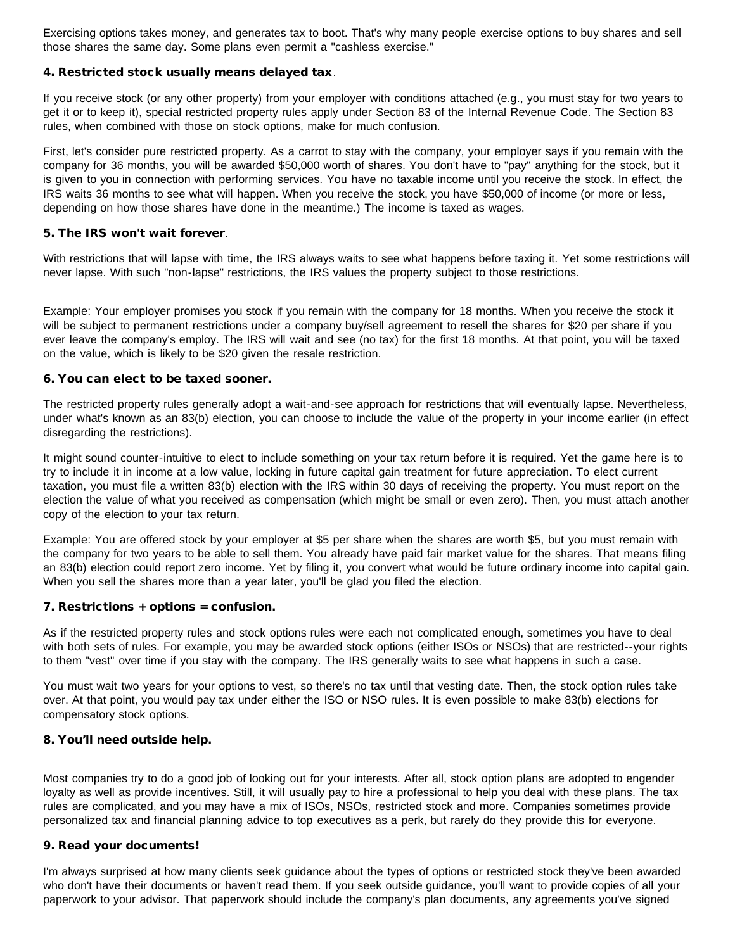Exercising options takes money, and generates tax to boot. That's why many people exercise options to buy shares and sell those shares the same day. Some plans even permit a "cashless exercise."

# 4. Restricted stock usually means delayed tax.

If you receive stock (or any other property) from your employer with conditions attached (e.g., you must stay for two years to get it or to keep it), special restricted property rules apply under Section 83 of the Internal Revenue Code. The Section 83 rules, when combined with those on stock options, make for much confusion.

First, let's consider pure restricted property. As a carrot to stay with the company, your employer says if you remain with the company for 36 months, you will be awarded \$50,000 worth of shares. You don't have to "pay" anything for the stock, but it is given to you in connection with performing services. You have no taxable income until you receive the stock. In effect, the IRS waits 36 months to see what will happen. When you receive the stock, you have \$50,000 of income (or more or less, depending on how those shares have done in the meantime.) The income is taxed as wages.

## 5. The IRS won't wait forever.

With restrictions that will lapse with time, the IRS always waits to see what happens before taxing it. Yet some restrictions will never lapse. With such "non-lapse" restrictions, the IRS values the property subject to those restrictions.

Example: Your employer promises you stock if you remain with the company for 18 months. When you receive the stock it will be subject to permanent restrictions under a company buy/sell agreement to resell the shares for \$20 per share if you ever leave the company's employ. The IRS will wait and see (no tax) for the first 18 months. At that point, you will be taxed on the value, which is likely to be \$20 given the resale restriction.

## 6. You can elect to be taxed sooner.

The restricted property rules generally adopt a wait-and-see approach for restrictions that will eventually lapse. Nevertheless, under what's known as an 83(b) election, you can choose to include the value of the property in your income earlier (in effect disregarding the restrictions).

It might sound counter-intuitive to elect to include something on your tax return before it is required. Yet the game here is to try to include it in income at a low value, locking in future capital gain treatment for future appreciation. To elect current taxation, you must file a written 83(b) election with the IRS within 30 days of receiving the property. You must report on the election the value of what you received as compensation (which might be small or even zero). Then, you must attach another copy of the election to your tax return.

Example: You are offered stock by your employer at \$5 per share when the shares are worth \$5, but you must remain with the company for two years to be able to sell them. You already have paid fair market value for the shares. That means filing an 83(b) election could report zero income. Yet by filing it, you convert what would be future ordinary income into capital gain. When you sell the shares more than a year later, you'll be glad you filed the election.

## 7. Restrictions + options = confusion.

As if the restricted property rules and stock options rules were each not complicated enough, sometimes you have to deal with both sets of rules. For example, you may be awarded stock options (either ISOs or NSOs) that are restricted--your rights to them "vest" over time if you stay with the company. The IRS generally waits to see what happens in such a case.

You must wait two years for your options to vest, so there's no tax until that vesting date. Then, the stock option rules take over. At that point, you would pay tax under either the ISO or NSO rules. It is even possible to make 83(b) elections for compensatory stock options.

## 8. You'll need outside help.

Most companies try to do a good job of looking out for your interests. After all, stock option plans are adopted to engender loyalty as well as provide incentives. Still, it will usually pay to hire a professional to help you deal with these plans. The tax rules are complicated, and you may have a mix of ISOs, NSOs, restricted stock and more. Companies sometimes provide personalized tax and financial planning advice to top executives as a perk, but rarely do they provide this for everyone.

## 9. Read your documents!

I'm always surprised at how many clients seek guidance about the types of options or restricted stock they've been awarded who don't have their documents or haven't read them. If you seek outside guidance, you'll want to provide copies of all your paperwork to your advisor. That paperwork should include the company's plan documents, any agreements you've signed